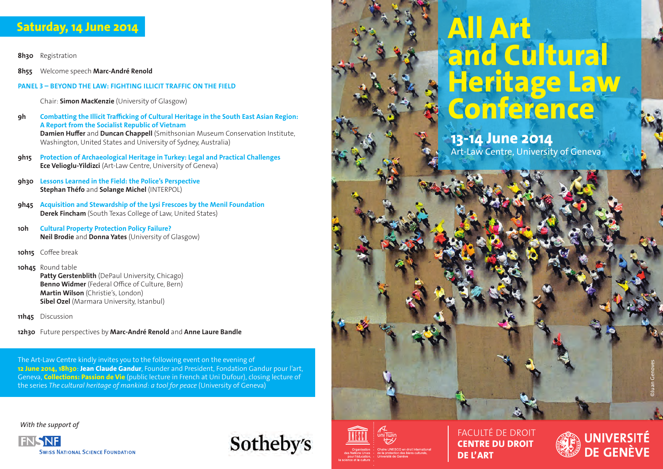# **Saturday, 14 June 2014**

**8h30** Registration

**8h55** Welcome speech **Marc-André Renold**

### **PANEL 3 – BEYOND THE LAW: FIGHTING ILLICIT TRAFFIC ON THE FIELD**

Chair: **Simon MacKenzie** (University of Glasgow)

- **9h Combatting the Illicit Trafficking of Cultural Heritage in the South East Asian Region: A Report from the Socialist Republic of Vietnam Damien Huffer** and **Duncan Chappell** (Smithsonian Museum Conservation Institute, Washington, United States and University of Sydney, Australia)
- **9h15 Protection of Archaeological Heritage in Turkey: Legal and Practical Challenges Ece Velioglu-Yildizci** (Art-Law Centre, University of Geneva)
- **9h30 Lessons Learned in the Field: the Police's Perspective Stephan Théfo** and **Solange Michel** (INTERPOL)
- **9h45 Acquisition and Stewardship of the Lysi Frescoes by the Menil Foundation Derek Fincham** (South Texas College of Law, United States)
- **10h Cultural Property Protection Policy Failure? Neil Brodie** and **Donna Yates** (University of Glasgow)
- **10h15** Coffee break

**10h45** Round table **Patty Gerstenblith** (DePaul University, Chicago) **Benno Widmer** (Federal Office of Culture, Bern) **Martin Wilson** (Christie's, London) **Sibel Ozel** (Marmara University, Istanbul)

**11h45** Discussion

**12h30** Future perspectives by **Marc-André Renold** and **Anne Laure Bandle**

The Art-Law Centre kindly invites you to the following event on the evening of **12 June 2014, 18h30**: **Jean Claude Gandur**, Founder and President, Fondation Gandur pour l'art, Geneva, **Collections: Passion de Vie** (public lecture in French at Uni Dufour), closing lecture of the series *The cultural heritage of mankind: a tool for peace* (University of Geneva)

*With the support of*







## **13-14 June 2014** Art-Law Centre, University of Geneva



FACULTÉ DE DROIT **CENTRE DU DROIT DE L'ART**



©Juan Genoves